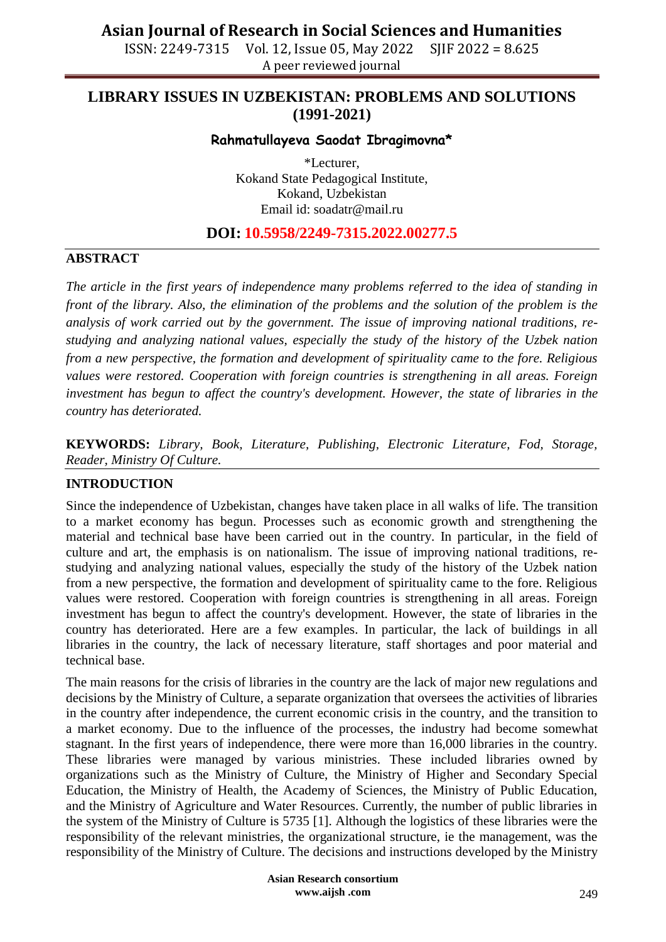ISSN: 2249-7315 Vol. 12, Issue 05, May 2022 SJIF 2022 = 8.625 A peer reviewed journal

## **LIBRARY ISSUES IN UZBEKISTAN: PROBLEMS AND SOLUTIONS (1991-2021)**

### **Rahmatullayeva Saodat Ibragimovna\***

\*Lecturer, Kokand State Pedagogical Institute, Kokand, Uzbekistan Email id: [soadatr@mail.ru](mailto:soadatr@mail.ru)

## **DOI: 10.5958/2249-7315.2022.00277.5**

#### **ABSTRACT**

*The article in the first years of independence many problems referred to the idea of standing in front of the library. Also, the elimination of the problems and the solution of the problem is the analysis of work carried out by the government. The issue of improving national traditions, restudying and analyzing national values, especially the study of the history of the Uzbek nation from a new perspective, the formation and development of spirituality came to the fore. Religious values were restored. Cooperation with foreign countries is strengthening in all areas. Foreign investment has begun to affect the country's development. However, the state of libraries in the country has deteriorated.*

**KEYWORDS:** *Library, Book, Literature, Publishing, Electronic Literature, Fod, Storage, Reader, Ministry Of Culture.*

#### **INTRODUCTION**

Since the independence of Uzbekistan, changes have taken place in all walks of life. The transition to a market economy has begun. Processes such as economic growth and strengthening the material and technical base have been carried out in the country. In particular, in the field of culture and art, the emphasis is on nationalism. The issue of improving national traditions, restudying and analyzing national values, especially the study of the history of the Uzbek nation from a new perspective, the formation and development of spirituality came to the fore. Religious values were restored. Cooperation with foreign countries is strengthening in all areas. Foreign investment has begun to affect the country's development. However, the state of libraries in the country has deteriorated. Here are a few examples. In particular, the lack of buildings in all libraries in the country, the lack of necessary literature, staff shortages and poor material and technical base.

The main reasons for the crisis of libraries in the country are the lack of major new regulations and decisions by the Ministry of Culture, a separate organization that oversees the activities of libraries in the country after independence, the current economic crisis in the country, and the transition to a market economy. Due to the influence of the processes, the industry had become somewhat stagnant. In the first years of independence, there were more than 16,000 libraries in the country. These libraries were managed by various ministries. These included libraries owned by organizations such as the Ministry of Culture, the Ministry of Higher and Secondary Special Education, the Ministry of Health, the Academy of Sciences, the Ministry of Public Education, and the Ministry of Agriculture and Water Resources. Currently, the number of public libraries in the system of the Ministry of Culture is 5735 [1]. Although the logistics of these libraries were the responsibility of the relevant ministries, the organizational structure, ie the management, was the responsibility of the Ministry of Culture. The decisions and instructions developed by the Ministry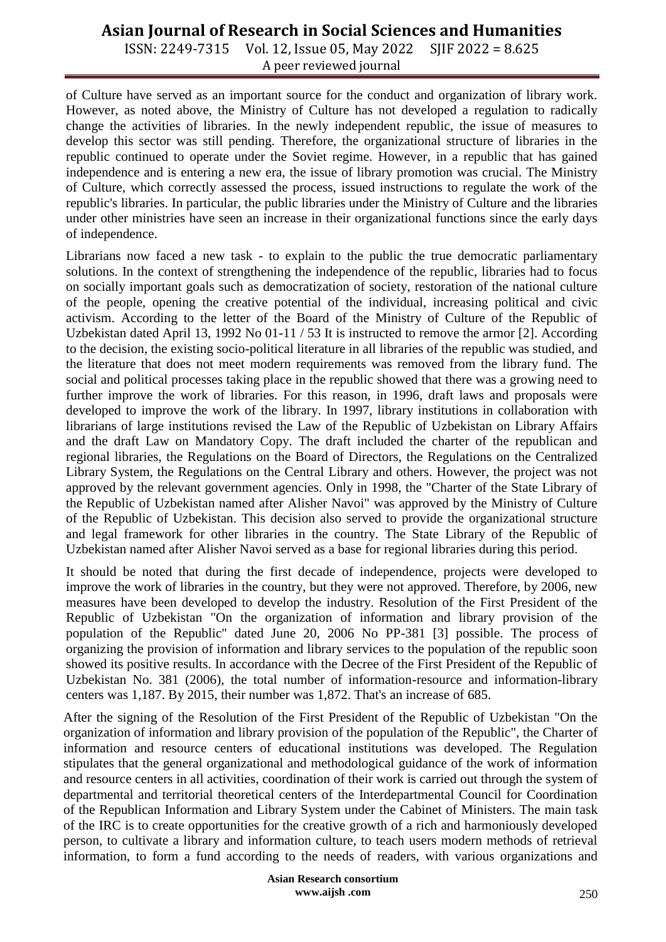# **Asian Journal of Research in Social Sciences and Humanities**

ISSN: 2249-7315 Vol. 12, Issue 05, May 2022 SJIF 2022 = 8.625 A peer reviewed journal

of Culture have served as an important source for the conduct and organization of library work. However, as noted above, the Ministry of Culture has not developed a regulation to radically change the activities of libraries. In the newly independent republic, the issue of measures to develop this sector was still pending. Therefore, the organizational structure of libraries in the republic continued to operate under the Soviet regime. However, in a republic that has gained independence and is entering a new era, the issue of library promotion was crucial. The Ministry of Culture, which correctly assessed the process, issued instructions to regulate the work of the republic's libraries. In particular, the public libraries under the Ministry of Culture and the libraries under other ministries have seen an increase in their organizational functions since the early days of independence.

Librarians now faced a new task - to explain to the public the true democratic parliamentary solutions. In the context of strengthening the independence of the republic, libraries had to focus on socially important goals such as democratization of society, restoration of the national culture of the people, opening the creative potential of the individual, increasing political and civic activism. According to the letter of the Board of the Ministry of Culture of the Republic of Uzbekistan dated April 13, 1992 No 01-11 / 53 It is instructed to remove the armor [2]. According to the decision, the existing socio-political literature in all libraries of the republic was studied, and the literature that does not meet modern requirements was removed from the library fund. The social and political processes taking place in the republic showed that there was a growing need to further improve the work of libraries. For this reason, in 1996, draft laws and proposals were developed to improve the work of the library. In 1997, library institutions in collaboration with librarians of large institutions revised the Law of the Republic of Uzbekistan on Library Affairs and the draft Law on Mandatory Copy. The draft included the charter of the republican and regional libraries, the Regulations on the Board of Directors, the Regulations on the Centralized Library System, the Regulations on the Central Library and others. However, the project was not approved by the relevant government agencies. Only in 1998, the "Charter of the State Library of the Republic of Uzbekistan named after Alisher Navoi" was approved by the Ministry of Culture of the Republic of Uzbekistan. This decision also served to provide the organizational structure and legal framework for other libraries in the country. The State Library of the Republic of Uzbekistan named after Alisher Navoi served as a base for regional libraries during this period.

It should be noted that during the first decade of independence, projects were developed to improve the work of libraries in the country, but they were not approved. Therefore, by 2006, new measures have been developed to develop the industry. Resolution of the First President of the Republic of Uzbekistan "On the organization of information and library provision of the population of the Republic" dated June 20, 2006 No PP-381 [3] possible. The process of organizing the provision of information and library services to the population of the republic soon showed its positive results. In accordance with the Decree of the First President of the Republic of Uzbekistan No. 381 (2006), the total number of information-resource and information-library centers was 1,187. By 2015, their number was 1,872. That's an increase of 685.

After the signing of the Resolution of the First President of the Republic of Uzbekistan "On the organization of information and library provision of the population of the Republic", the Charter of information and resource centers of educational institutions was developed. The Regulation stipulates that the general organizational and methodological guidance of the work of information and resource centers in all activities, coordination of their work is carried out through the system of departmental and territorial theoretical centers of the Interdepartmental Council for Coordination of the Republican Information and Library System under the Cabinet of Ministers. The main task of the IRC is to create opportunities for the creative growth of a rich and harmoniously developed person, to cultivate a library and information culture, to teach users modern methods of retrieval information, to form a fund according to the needs of readers, with various organizations and

> **Asian Research consortium www.aijsh .com**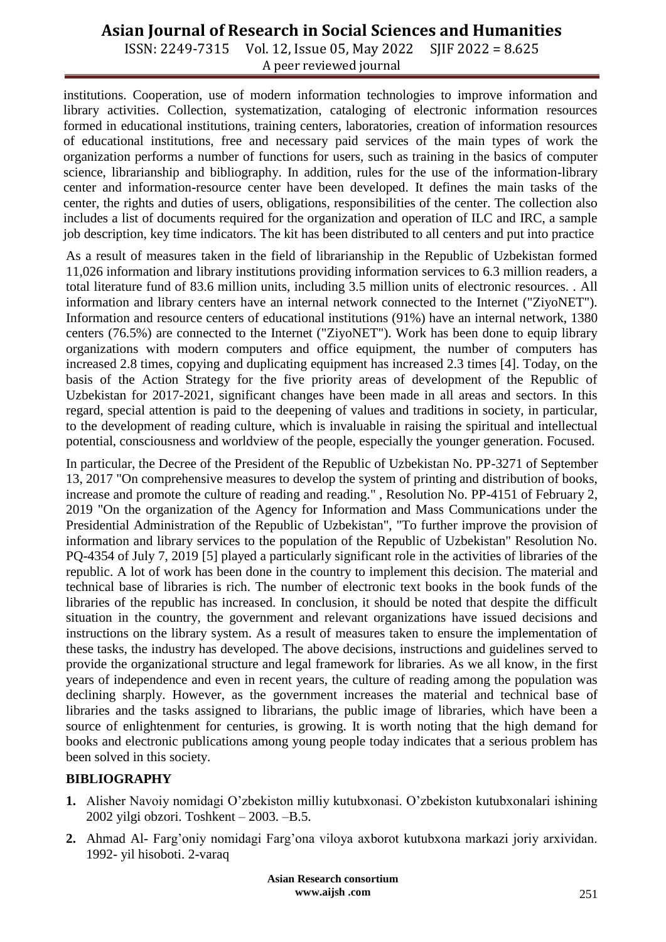# **Asian Journal of Research in Social Sciences and Humanities**

ISSN: 2249-7315 Vol. 12, Issue 05, May 2022 SJIF 2022 = 8.625 A peer reviewed journal

institutions. Cooperation, use of modern information technologies to improve information and library activities. Collection, systematization, cataloging of electronic information resources formed in educational institutions, training centers, laboratories, creation of information resources of educational institutions, free and necessary paid services of the main types of work the organization performs a number of functions for users, such as training in the basics of computer science, librarianship and bibliography. In addition, rules for the use of the information-library center and information-resource center have been developed. It defines the main tasks of the center, the rights and duties of users, obligations, responsibilities of the center. The collection also includes a list of documents required for the organization and operation of ILC and IRC, a sample job description, key time indicators. The kit has been distributed to all centers and put into practice

As a result of measures taken in the field of librarianship in the Republic of Uzbekistan formed 11,026 information and library institutions providing information services to 6.3 million readers, a total literature fund of 83.6 million units, including 3.5 million units of electronic resources. . All information and library centers have an internal network connected to the Internet ("ZiyoNET"). Information and resource centers of educational institutions (91%) have an internal network, 1380 centers (76.5%) are connected to the Internet ("ZiyoNET"). Work has been done to equip library organizations with modern computers and office equipment, the number of computers has increased 2.8 times, copying and duplicating equipment has increased 2.3 times [4]. Today, on the basis of the Action Strategy for the five priority areas of development of the Republic of Uzbekistan for 2017-2021, significant changes have been made in all areas and sectors. In this regard, special attention is paid to the deepening of values and traditions in society, in particular, to the development of reading culture, which is invaluable in raising the spiritual and intellectual potential, consciousness and worldview of the people, especially the younger generation. Focused.

In particular, the Decree of the President of the Republic of Uzbekistan No. PP-3271 of September 13, 2017 "On comprehensive measures to develop the system of printing and distribution of books, increase and promote the culture of reading and reading." , Resolution No. PP-4151 of February 2, 2019 "On the organization of the Agency for Information and Mass Communications under the Presidential Administration of the Republic of Uzbekistan", "To further improve the provision of information and library services to the population of the Republic of Uzbekistan" Resolution No. PQ-4354 of July 7, 2019 [5] played a particularly significant role in the activities of libraries of the republic. A lot of work has been done in the country to implement this decision. The material and technical base of libraries is rich. The number of electronic text books in the book funds of the libraries of the republic has increased. In conclusion, it should be noted that despite the difficult situation in the country, the government and relevant organizations have issued decisions and instructions on the library system. As a result of measures taken to ensure the implementation of these tasks, the industry has developed. The above decisions, instructions and guidelines served to provide the organizational structure and legal framework for libraries. As we all know, in the first years of independence and even in recent years, the culture of reading among the population was declining sharply. However, as the government increases the material and technical base of libraries and the tasks assigned to librarians, the public image of libraries, which have been a source of enlightenment for centuries, is growing. It is worth noting that the high demand for books and electronic publications among young people today indicates that a serious problem has been solved in this society.

## **BIBLIOGRAPHY**

- **1.** Alisher Navoiy nomidagi O'zbekiston milliy kutubxonasi. O'zbekiston kutubxonalari ishining 2002 yilgi obzori. Toshkent – 2003. –B.5.
- **2.** Ahmad Al- Farg'oniy nomidagi Farg'ona viloya axborot kutubxona markazi joriy arxividan. 1992- yil hisoboti. 2-varaq

**Asian Research consortium www.aijsh .com**